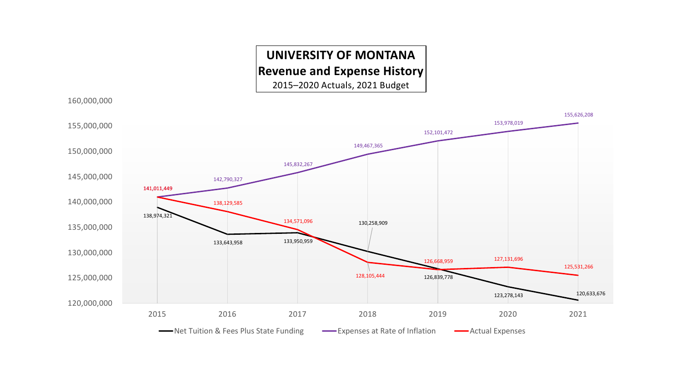#### **UNIVERSITY OF MONTANA Revenue and Expense History**

2015–2020 Actuals, 2021 Budget

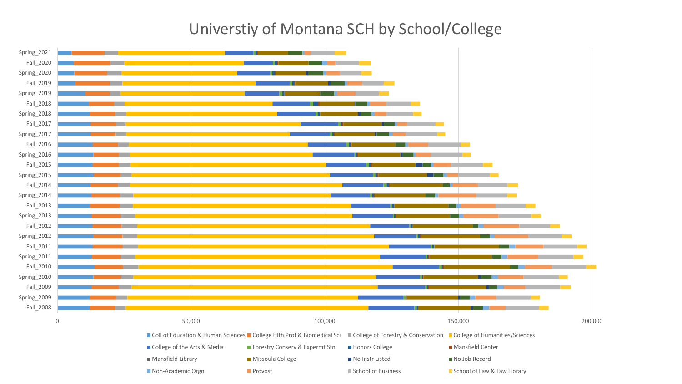## Universtiy of Montana SCH by School/College

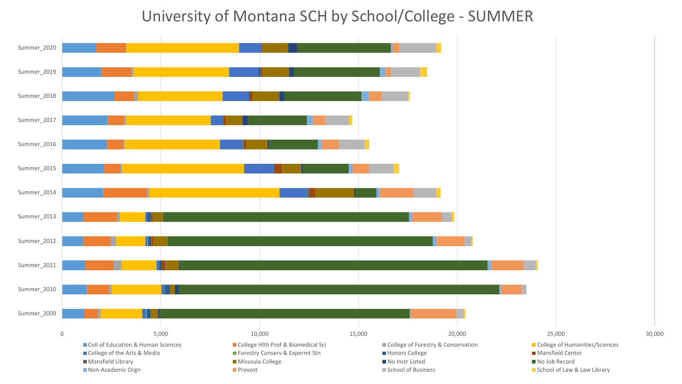### University of Montana SCH by School/College - SUMMER

![](_page_2_Figure_1.jpeg)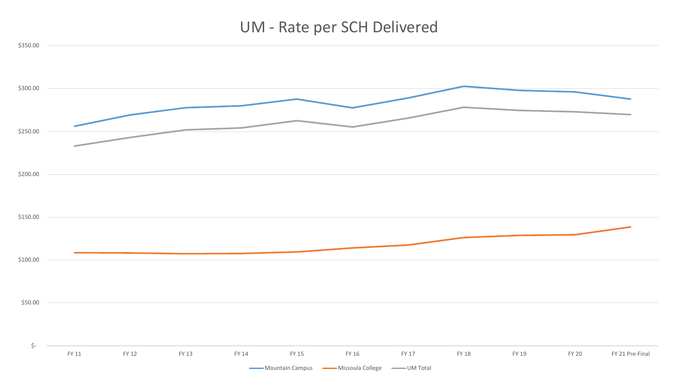## UM - Rate per SCH Delivered

![](_page_3_Figure_1.jpeg)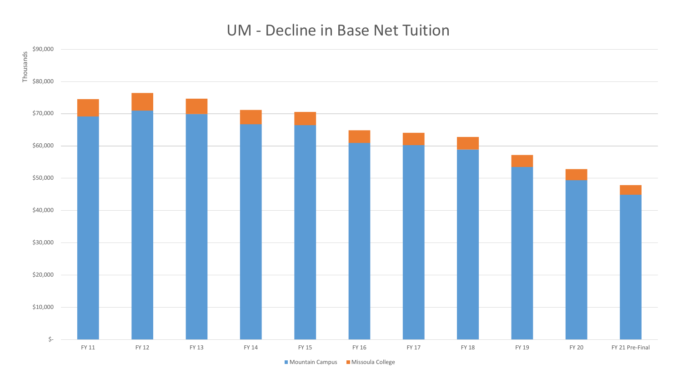### UM - Decline in Base Net Tuition

![](_page_4_Figure_1.jpeg)

Mountain Campus Missoula College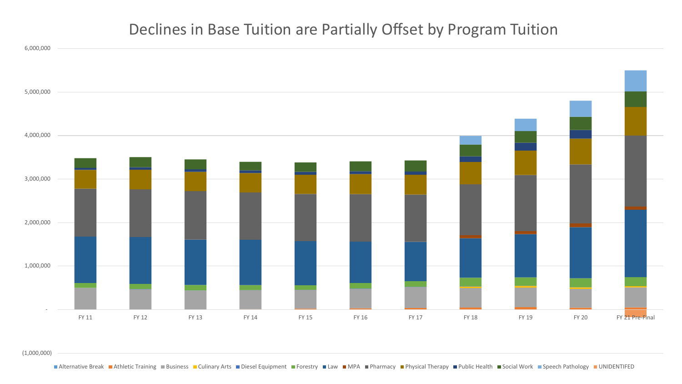### Declines in Base Tuition are Partially Offset by Program Tuition

![](_page_5_Figure_1.jpeg)

(1,000,000)

■ Alternative Break ■ Athletic Training ■ Business ■ Culinary Arts ■ Diesel Equipment ■ Forestry ■ Law ■ MPA ■ Pharmacy ■ Physical Therapy ■ Public Health ■ Social Work ■ Speech Pathology ■ UNIDENTIFED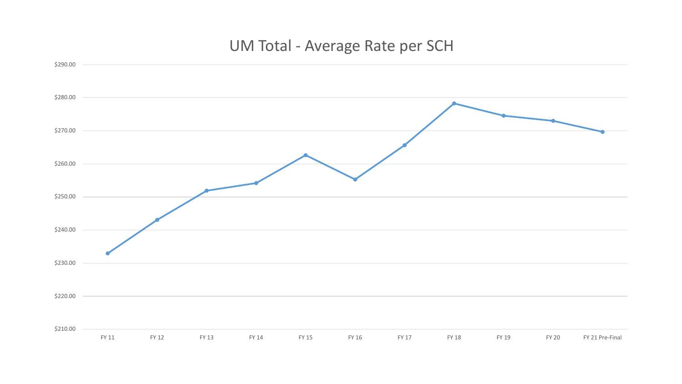## UM Total - Average Rate per SCH

![](_page_6_Figure_1.jpeg)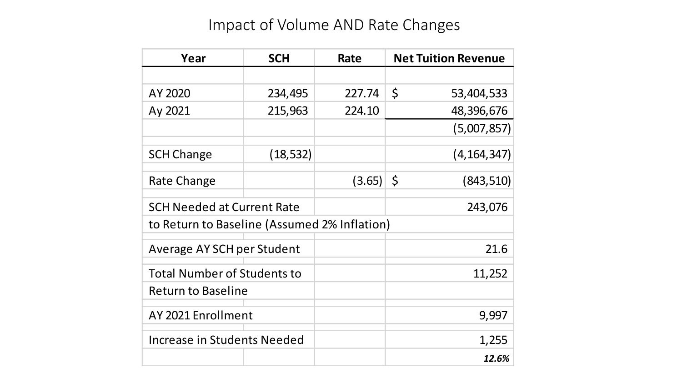# Impact of Volume AND Rate Changes

| Year                                         | <b>SCH</b> | Rate   | <b>Net Tuition Revenue</b> |
|----------------------------------------------|------------|--------|----------------------------|
|                                              |            |        |                            |
| AY 2020                                      | 234,495    | 227.74 | $\varsigma$<br>53,404,533  |
| Ay 2021                                      | 215,963    | 224.10 | 48,396,676                 |
|                                              |            |        | (5,007,857)                |
| <b>SCH Change</b>                            | (18, 532)  |        | (4, 164, 347)              |
| Rate Change                                  |            | (3.65) | $\zeta$<br>(843, 510)      |
| <b>SCH Needed at Current Rate</b>            |            |        | 243,076                    |
| to Return to Baseline (Assumed 2% Inflation) |            |        |                            |
| Average AY SCH per Student                   |            |        | 21.6                       |
| <b>Total Number of Students to</b>           |            |        | 11,252                     |
| <b>Return to Baseline</b>                    |            |        |                            |
| AY 2021 Enrollment                           |            |        | 9,997                      |
| Increase in Students Needed                  |            |        | 1,255                      |
|                                              |            |        | 12.6%                      |